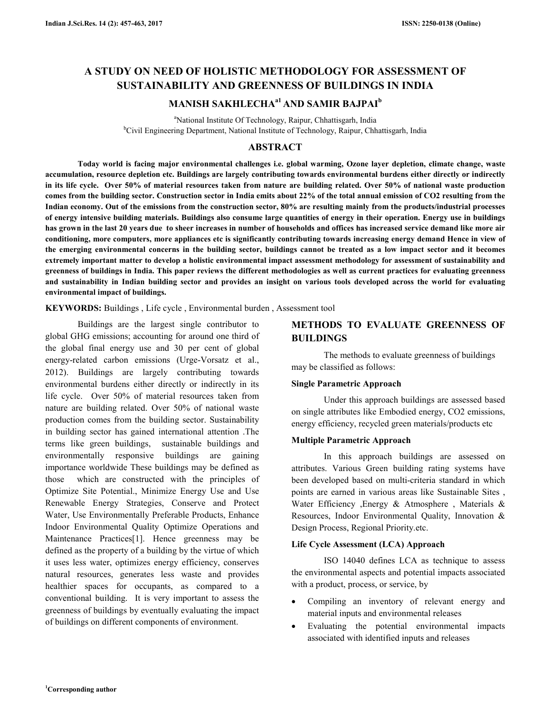# **A STUDY ON NEED OF HOLISTIC METHODOLOGY FOR ASSESSMENT OF SUSTAINABILITY AND GREENNESS OF BUILDINGS IN INDIA**

# **MANISH SAKHLECHAa1 AND SAMIR BAJPAI<sup>b</sup>**

<sup>a</sup>National Institute Of Technology, Raipur, Chhattisgarh, India <sup>b</sup>Civil Engineering Department, National Institute of Technology, Raipur, Chhattisgarh, India

## **ABSTRACT**

 **Today world is facing major environmental challenges i.e. global warming, Ozone layer depletion, climate change, waste accumulation, resource depletion etc. Buildings are largely contributing towards environmental burdens either directly or indirectly in its life cycle. Over 50% of material resources taken from nature are building related. Over 50% of national waste production comes from the building sector. Construction sector in India emits about 22% of the total annual emission of CO2 resulting from the Indian economy. Out of the emissions from the construction sector, 80% are resulting mainly from the products/industrial processes of energy intensive building materials. Buildings also consume large quantities of energy in their operation. Energy use in buildings has grown in the last 20 years due to sheer increases in number of households and offices has increased service demand like more air conditioning, more computers, more appliances etc is significantly contributing towards increasing energy demand Hence in view of the emerging environmental concerns in the building sector, buildings cannot be treated as a low impact sector and it becomes extremely important matter to develop a holistic environmental impact assessment methodology for assessment of sustainability and greenness of buildings in India. This paper reviews the different methodologies as well as current practices for evaluating greenness and sustainability in Indian building sector and provides an insight on various tools developed across the world for evaluating environmental impact of buildings.** 

**KEYWORDS:** Buildings , Life cycle , Environmental burden , Assessment tool

Buildings are the largest single contributor to global GHG emissions; accounting for around one third of the global final energy use and 30 per cent of global energy-related carbon emissions (Urge-Vorsatz et al., 2012). Buildings are largely contributing towards environmental burdens either directly or indirectly in its life cycle. Over 50% of material resources taken from nature are building related. Over 50% of national waste production comes from the building sector. Sustainability in building sector has gained international attention .The terms like green buildings, sustainable buildings and environmentally responsive buildings are gaining importance worldwide These buildings may be defined as those which are constructed with the principles of Optimize Site Potential., Minimize Energy Use and Use Renewable Energy Strategies, Conserve and Protect Water, Use Environmentally Preferable Products, Enhance Indoor Environmental Quality Optimize Operations and Maintenance Practices[1]. Hence greenness may be defined as the property of a building by the virtue of which it uses less water, optimizes energy efficiency, conserves natural resources, generates less waste and provides healthier spaces for occupants, as compared to a conventional building. It is very important to assess the greenness of buildings by eventually evaluating the impact of buildings on different components of environment.

# **METHODS TO EVALUATE GREENNESS OF BUILDINGS**

 The methods to evaluate greenness of buildings may be classified as follows:

## **Single Parametric Approach**

 Under this approach buildings are assessed based on single attributes like Embodied energy, CO2 emissions, energy efficiency, recycled green materials/products etc

## **Multiple Parametric Approach**

 In this approach buildings are assessed on attributes. Various Green building rating systems have been developed based on multi-criteria standard in which points are earned in various areas like Sustainable Sites , Water Efficiency ,Energy & Atmosphere , Materials & Resources, Indoor Environmental Quality, Innovation & Design Process, Regional Priority.etc.

## **Life Cycle Assessment (LCA) Approach**

ISO 14040 defines LCA as technique to assess the environmental aspects and potential impacts associated with a product, process, or service, by

- Compiling an inventory of relevant energy and material inputs and environmental releases
- Evaluating the potential environmental impacts associated with identified inputs and releases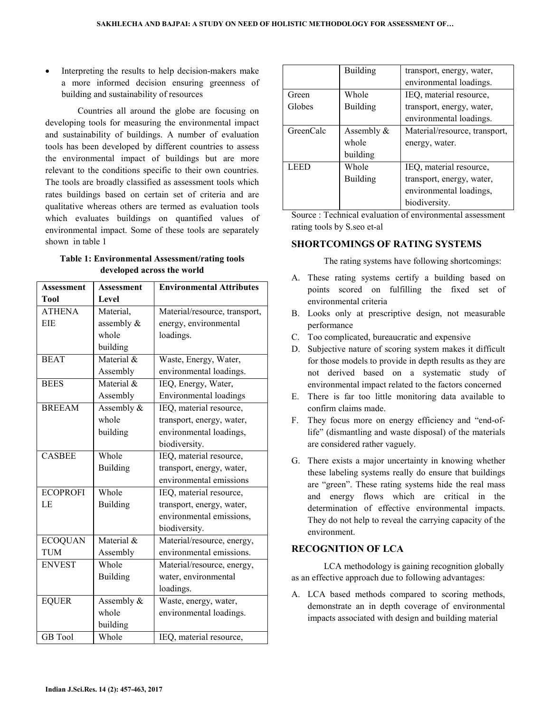Interpreting the results to help decision-makers make a more informed decision ensuring greenness of building and sustainability of resources

 Countries all around the globe are focusing on developing tools for measuring the environmental impact and sustainability of buildings. A number of evaluation tools has been developed by different countries to assess the environmental impact of buildings but are more relevant to the conditions specific to their own countries. The tools are broadly classified as assessment tools which rates buildings based on certain set of criteria and are qualitative whereas others are termed as evaluation tools which evaluates buildings on quantified values of environmental impact. Some of these tools are separately shown in table 1

## **Table 1: Environmental Assessment/rating tools developed across the world**

| <b>Assessment</b> | Assessment      | <b>Environmental Attributes</b> |  |  |
|-------------------|-----------------|---------------------------------|--|--|
| <b>Tool</b>       | Level           |                                 |  |  |
| <b>ATHENA</b>     | Material,       | Material/resource, transport,   |  |  |
| EIE               | assembly &      | energy, environmental           |  |  |
|                   | whole           | loadings.                       |  |  |
|                   | building        |                                 |  |  |
| <b>BEAT</b>       | Material &      | Waste, Energy, Water,           |  |  |
|                   | Assembly        | environmental loadings.         |  |  |
| <b>BEES</b>       | Material &      | IEQ, Energy, Water,             |  |  |
|                   | Assembly        | <b>Environmental</b> loadings   |  |  |
| <b>BREEAM</b>     | Assembly &      | IEQ, material resource,         |  |  |
|                   | whole           | transport, energy, water,       |  |  |
|                   | building        | environmental loadings,         |  |  |
|                   |                 | biodiversity.                   |  |  |
| <b>CASBEE</b>     | Whole           | IEQ, material resource,         |  |  |
|                   | <b>Building</b> | transport, energy, water,       |  |  |
|                   |                 | environmental emissions         |  |  |
| <b>ECOPROFI</b>   | Whole           | IEQ, material resource,         |  |  |
| LE                | <b>Building</b> | transport, energy, water,       |  |  |
|                   |                 | environmental emissions,        |  |  |
|                   |                 | biodiversity.                   |  |  |
| <b>ECOQUAN</b>    | Material $\&$   | Material/resource, energy,      |  |  |
| <b>TUM</b>        | Assembly        | environmental emissions.        |  |  |
| <b>ENVEST</b>     | Whole           | Material/resource, energy,      |  |  |
|                   | <b>Building</b> | water, environmental            |  |  |
|                   |                 | loadings.                       |  |  |
| <b>EQUER</b>      | Assembly &      | Waste, energy, water,           |  |  |
|                   | whole           | environmental loadings.         |  |  |
|                   | building        |                                 |  |  |
| <b>GB</b> Tool    | Whole           | IEQ, material resource,         |  |  |

|           | <b>Building</b> | transport, energy, water,     |  |
|-----------|-----------------|-------------------------------|--|
|           |                 | environmental loadings.       |  |
| Green     | Whole           | IEQ, material resource,       |  |
| Globes    | <b>Building</b> | transport, energy, water,     |  |
|           |                 | environmental loadings.       |  |
| GreenCalc | Assembly $\&$   | Material/resource, transport, |  |
|           | whole           | energy, water.                |  |
|           | building        |                               |  |
| LEED      | Whole           | IEQ, material resource,       |  |
|           | <b>Building</b> | transport, energy, water,     |  |
|           |                 | environmental loadings,       |  |
|           |                 | biodiversity.                 |  |

Source : Technical evaluation of environmental assessment rating tools by S.seo et-al

#### **SHORTCOMINGS OF RATING SYSTEMS**

The rating systems have following shortcomings:

- A. These rating systems certify a building based on points scored on fulfilling the fixed set of environmental criteria
- B. Looks only at prescriptive design, not measurable performance
- C. Too complicated, bureaucratic and expensive
- D. Subjective nature of scoring system makes it difficult for those models to provide in depth results as they are not derived based on a systematic study of environmental impact related to the factors concerned
- E. There is far too little monitoring data available to confirm claims made.
- F. They focus more on energy efficiency and "end-oflife" (dismantling and waste disposal) of the materials are considered rather vaguely.
- G. There exists a major uncertainty in knowing whether these labeling systems really do ensure that buildings are "green". These rating systems hide the real mass and energy flows which are critical in the determination of effective environmental impacts. They do not help to reveal the carrying capacity of the environment.

## **RECOGNITION OF LCA**

 LCA methodology is gaining recognition globally as an effective approach due to following advantages:

A. LCA based methods compared to scoring methods, demonstrate an in depth coverage of environmental impacts associated with design and building material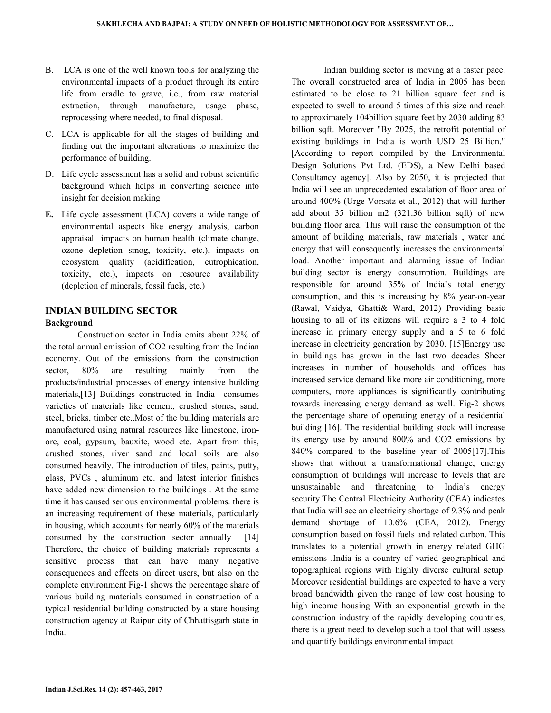- B. LCA is one of the well known tools for analyzing the environmental impacts of a product through its entire life from cradle to grave, i.e., from raw material extraction, through manufacture, usage phase, reprocessing where needed, to final disposal.
- C. LCA is applicable for all the stages of building and finding out the important alterations to maximize the performance of building.
- D. Life cycle assessment has a solid and robust scientific background which helps in converting science into insight for decision making
- **E.** Life cycle assessment (LCA) covers a wide range of environmental aspects like energy analysis, carbon appraisal impacts on human health (climate change, ozone depletion smog, toxicity, etc.), impacts on ecosystem quality (acidification, eutrophication, toxicity, etc.), impacts on resource availability (depletion of minerals, fossil fuels, etc.)

# **INDIAN BUILDING SECTOR Background**

 Construction sector in India emits about 22% of the total annual emission of CO2 resulting from the Indian economy. Out of the emissions from the construction sector, 80% are resulting mainly from the products/industrial processes of energy intensive building materials,[13] Buildings constructed in India consumes varieties of materials like cement, crushed stones, sand, steel, bricks, timber etc..Most of the building materials are manufactured using natural resources like limestone, ironore, coal, gypsum, bauxite, wood etc. Apart from this, crushed stones, river sand and local soils are also consumed heavily. The introduction of tiles, paints, putty, glass, PVCs , aluminum etc. and latest interior finishes have added new dimension to the buildings . At the same time it has caused serious environmental problems. there is an increasing requirement of these materials, particularly in housing, which accounts for nearly 60% of the materials consumed by the construction sector annually [14] Therefore, the choice of building materials represents a sensitive process that can have many negative consequences and effects on direct users, but also on the complete environment Fig-1 shows the percentage share of various building materials consumed in construction of a typical residential building constructed by a state housing construction agency at Raipur city of Chhattisgarh state in India.

 Indian building sector is moving at a faster pace. The overall constructed area of India in 2005 has been estimated to be close to 21 billion square feet and is expected to swell to around 5 times of this size and reach to approximately 104billion square feet by 2030 adding 83 billion sqft. Moreover "By 2025, the retrofit potential of existing buildings in India is worth USD 25 Billion," [According to report compiled by the Environmental Design Solutions Pvt Ltd. (EDS), a New Delhi based Consultancy agency]. Also by 2050, it is projected that India will see an unprecedented escalation of floor area of around 400% (Urge-Vorsatz et al., 2012) that will further add about 35 billion m2 (321.36 billion sqft) of new building floor area. This will raise the consumption of the amount of building materials, raw materials , water and energy that will consequently increases the environmental load. Another important and alarming issue of Indian building sector is energy consumption. Buildings are responsible for around 35% of India's total energy consumption, and this is increasing by 8% year-on-year (Rawal, Vaidya, Ghatti& Ward, 2012) Providing basic housing to all of its citizens will require a 3 to 4 fold increase in primary energy supply and a 5 to 6 fold increase in electricity generation by 2030. [15]Energy use in buildings has grown in the last two decades Sheer increases in number of households and offices has increased service demand like more air conditioning, more computers, more appliances is significantly contributing towards increasing energy demand as well. Fig-2 shows the percentage share of operating energy of a residential building [16]. The residential building stock will increase its energy use by around 800% and CO2 emissions by 840% compared to the baseline year of 2005[17].This shows that without a transformational change, energy consumption of buildings will increase to levels that are unsustainable and threatening to India's energy security.The Central Electricity Authority (CEA) indicates that India will see an electricity shortage of 9.3% and peak demand shortage of 10.6% (CEA, 2012). Energy consumption based on fossil fuels and related carbon. This translates to a potential growth in energy related GHG emissions .India is a country of varied geographical and topographical regions with highly diverse cultural setup. Moreover residential buildings are expected to have a very broad bandwidth given the range of low cost housing to high income housing With an exponential growth in the construction industry of the rapidly developing countries, there is a great need to develop such a tool that will assess and quantify buildings environmental impact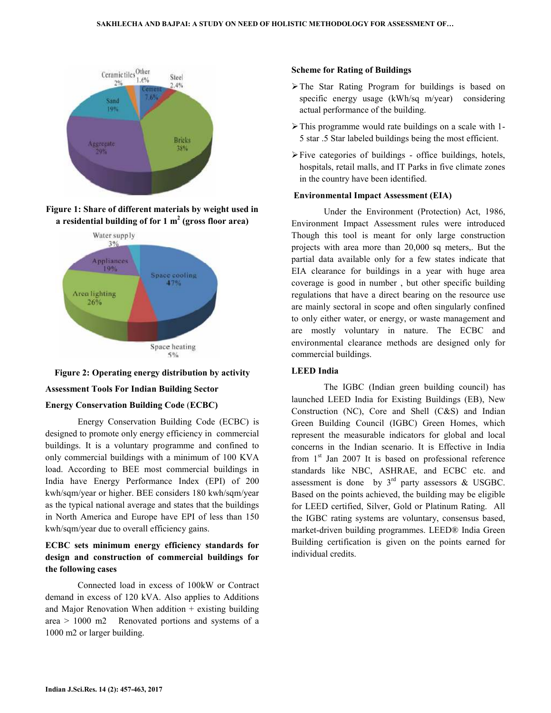







#### **Assessment Tools For Indian Building Sector**

## **Energy Conservation Building Code** (**ECBC)**

 Energy Conservation Building Code (ECBC) is designed to promote only energy efficiency in commercial buildings. It is a voluntary programme and confined to only commercial buildings with a minimum of 100 KVA load. According to BEE most commercial buildings in India have Energy Performance Index (EPI) of 200 kwh/sqm/year or higher. BEE considers 180 kwh/sqm/year as the typical national average and states that the buildings in North America and Europe have EPI of less than 150 kwh/sqm/year due to overall efficiency gains.

# **ECBC sets minimum energy efficiency standards for design and construction of commercial buildings for the following cases**

 Connected load in excess of 100kW or Contract demand in excess of 120 kVA. Also applies to Additions and Major Renovation When addition + existing building area > 1000 m2 Renovated portions and systems of a 1000 m2 or larger building.

#### **Scheme for Rating of Buildings**

- $\triangleright$  The Star Rating Program for buildings is based on specific energy usage (kWh/sq m/year) considering actual performance of the building.
- $\triangleright$  This programme would rate buildings on a scale with 1-5 star .5 Star labeled buildings being the most efficient.
- $\triangleright$  Five categories of buildings office buildings, hotels, hospitals, retail malls, and IT Parks in five climate zones in the country have been identified.

#### **Environmental Impact Assessment (EIA)**

 Under the Environment (Protection) Act, 1986, Environment Impact Assessment rules were introduced Though this tool is meant for only large construction projects with area more than 20,000 sq meters,. But the partial data available only for a few states indicate that EIA clearance for buildings in a year with huge area coverage is good in number , but other specific building regulations that have a direct bearing on the resource use are mainly sectoral in scope and often singularly confined to only either water, or energy, or waste management and are mostly voluntary in nature. The ECBC and environmental clearance methods are designed only for commercial buildings.

#### **LEED India**

 The IGBC (Indian green building council) has launched LEED India for Existing Buildings (EB), New Construction (NC), Core and Shell (C&S) and Indian Green Building Council (IGBC) Green Homes, which represent the measurable indicators for global and local concerns in the Indian scenario. It is Effective in India from  $1<sup>st</sup>$  Jan 2007 It is based on professional reference standards like NBC, ASHRAE, and ECBC etc. and assessment is done by  $3<sup>rd</sup>$  party assessors & USGBC. Based on the points achieved, the building may be eligible for LEED certified, Silver, Gold or Platinum Rating. All the IGBC rating systems are voluntary, consensus based, market-driven building programmes. LEED® India Green Building certification is given on the points earned for individual credits.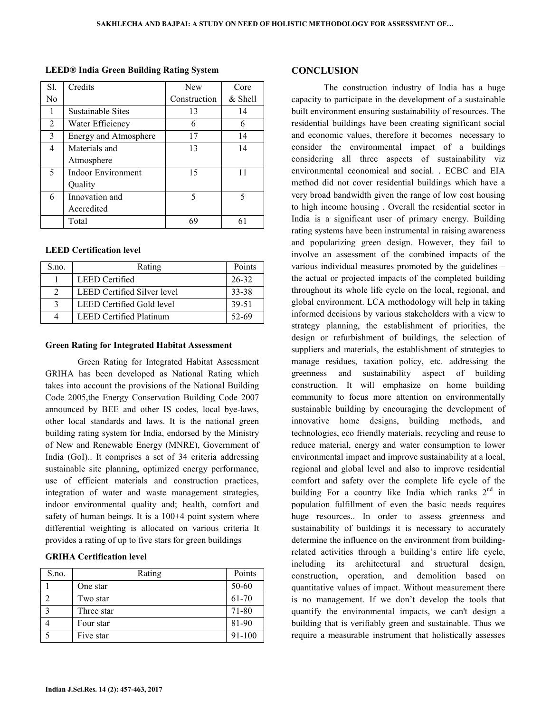| Sl.            | Credits                   | <b>New</b>   | Core    |
|----------------|---------------------------|--------------|---------|
| N <sub>0</sub> |                           | Construction | & Shell |
|                | <b>Sustainable Sites</b>  | 13           | 14      |
| 2              | Water Efficiency          | 6            | 6       |
| 3              | Energy and Atmosphere     | 17           | 14      |
| 4              | Materials and             | 13           | 14      |
|                | Atmosphere                |              |         |
| 5              | <b>Indoor Environment</b> | 15           | 11      |
|                | Quality                   |              |         |
| 6              | Innovation and            | 5            | 5       |
|                | Accredited                |              |         |
|                | Total                     | 69           |         |

**LEED® India Green Building Rating System** 

#### **LEED Certification level**

| S.no. | Rating                         | Points    |
|-------|--------------------------------|-----------|
|       | <b>LEED</b> Certified          | 26-32     |
|       | LEED Certified Silver level    | 33-38     |
|       | LEED Certified Gold level      | 39-51     |
|       | <b>LEED Certified Platinum</b> | $52 - 69$ |

#### **Green Rating for Integrated Habitat Assessment**

 Green Rating for Integrated Habitat Assessment GRIHA has been developed as National Rating which takes into account the provisions of the National Building Code 2005,the Energy Conservation Building Code 2007 announced by BEE and other IS codes, local bye-laws, other local standards and laws. It is the national green building rating system for India, endorsed by the Ministry of New and Renewable Energy (MNRE), Government of India (GoI).. It comprises a set of 34 criteria addressing sustainable site planning, optimized energy performance, use of efficient materials and construction practices, integration of water and waste management strategies, indoor environmental quality and; health, comfort and safety of human beings. It is a 100+4 point system where differential weighting is allocated on various criteria It provides a rating of up to five stars for green buildings

#### **GRIHA Certification level**

| S.no. | Rating     | Points |
|-------|------------|--------|
|       | One star   | 50-60  |
|       | Two star   | 61-70  |
|       | Three star | 71-80  |
|       | Four star  | 81-90  |
|       | Five star  | 91-100 |

#### **CONCLUSION**

 The construction industry of India has a huge capacity to participate in the development of a sustainable built environment ensuring sustainability of resources. The residential buildings have been creating significant social and economic values, therefore it becomes necessary to consider the environmental impact of a buildings considering all three aspects of sustainability viz environmental economical and social. . ECBC and EIA method did not cover residential buildings which have a very broad bandwidth given the range of low cost housing to high income housing . Overall the residential sector in India is a significant user of primary energy. Building rating systems have been instrumental in raising awareness and popularizing green design. However, they fail to involve an assessment of the combined impacts of the various individual measures promoted by the guidelines – the actual or projected impacts of the completed building throughout its whole life cycle on the local, regional, and global environment. LCA methodology will help in taking informed decisions by various stakeholders with a view to strategy planning, the establishment of priorities, the design or refurbishment of buildings, the selection of suppliers and materials, the establishment of strategies to manage residues, taxation policy, etc. addressing the greenness and sustainability aspect of building construction. It will emphasize on home building community to focus more attention on environmentally sustainable building by encouraging the development of innovative home designs, building methods, and technologies, eco friendly materials, recycling and reuse to reduce material, energy and water consumption to lower environmental impact and improve sustainability at a local, regional and global level and also to improve residential comfort and safety over the complete life cycle of the building For a country like India which ranks  $2<sup>nd</sup>$  in population fulfillment of even the basic needs requires huge resources.. In order to assess greenness and sustainability of buildings it is necessary to accurately determine the influence on the environment from buildingrelated activities through a building's entire life cycle, including its architectural and structural design, construction, operation, and demolition based on quantitative values of impact. Without measurement there is no management. If we don't develop the tools that quantify the environmental impacts, we can't design a building that is verifiably green and sustainable. Thus we require a measurable instrument that holistically assesses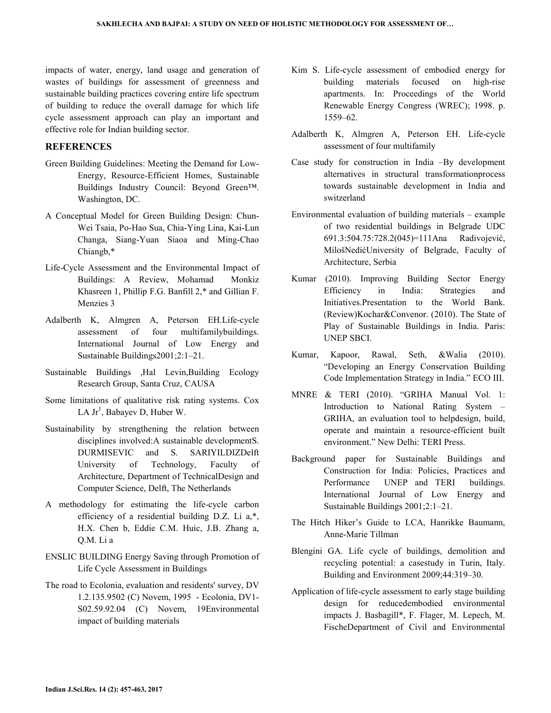impacts of water, energy, land usage and generation of wastes of buildings for assessment of greenness and sustainable building practices covering entire life spectrum of building to reduce the overall damage for which life cycle assessment approach can play an important and effective role for Indian building sector.

## **REFERENCES**

- Green Building Guidelines: Meeting the Demand for Low-Energy, Resource-Efficient Homes, Sustainable Buildings Industry Council: Beyond Green™. Washington, DC.
- A Conceptual Model for Green Building Design: Chun-Wei Tsaia, Po-Hao Sua, Chia-Ying Lina, Kai-Lun Changa, Siang-Yuan Siaoa and Ming-Chao Chiangb,\*
- Life-Cycle Assessment and the Environmental Impact of Buildings: A Review, Mohamad Monkiz Khasreen 1, Phillip F.G. Banfill 2,\* and Gillian F. Menzies 3
- Adalberth K, Almgren A, Peterson EH.Life-cycle assessment of four multifamilybuildings. International Journal of Low Energy and Sustainable Buildings2001;2:1–21.
- Sustainable Buildings ,Hal Levin,Building Ecology Research Group, Santa Cruz, CAUSA
- Some limitations of qualitative risk rating systems. Cox LA Jr<sup>1</sup>, Babayev D, Huber W.
- Sustainability by strengthening the relation between disciplines involved:A sustainable developmentS. DURMISEVIC and S. SARIYILDIZDelft University of Technology, Faculty of Architecture, Department of TechnicalDesign and Computer Science, Delft, The Netherlands
- A methodology for estimating the life-cycle carbon efficiency of a residential building D.Z. Li a,\*, H.X. Chen b, Eddie C.M. Huic, J.B. Zhang a, Q.M. Li a
- ENSLIC BUILDING Energy Saving through Promotion of Life Cycle Assessment in Buildings
- The road to Ecolonia, evaluation and residents' survey, DV 1.2.135.9502 (C) Novem, 1995 - Ecolonia, DV1- S02.59.92.04 (C) Novem, 19Environmental impact of building materials
- Kim S. Life-cycle assessment of embodied energy for building materials focused on high-rise apartments. In: Proceedings of the World Renewable Energy Congress (WREC); 1998. p. 1559–62.
- Adalberth K, Almgren A, Peterson EH. Life-cycle assessment of four multifamily
- Case study for construction in India –By development alternatives in structural transformationprocess towards sustainable development in India and switzerland
- Environmental evaluation of building materials example of two residential buildings in Belgrade UDC 691.3:504.75:728.2(045)=111Ana Radivojević, MilošNedićUniversity of Belgrade, Faculty of Architecture, Serbia
- Kumar (2010). Improving Building Sector Energy Efficiency in India: Strategies and Initiatives.Presentation to the World Bank. (Review)Kochar&Convenor. (2010). The State of Play of Sustainable Buildings in India. Paris: UNEP SBCI.
- Kumar, Kapoor, Rawal, Seth, &Walia (2010). "Developing an Energy Conservation Building Code Implementation Strategy in India." ECO III.
- MNRE & TERI (2010). "GRIHA Manual Vol. 1: Introduction to National Rating System – GRIHA, an evaluation tool to helpdesign, build, operate and maintain a resource-efficient built environment." New Delhi: TERI Press.
- Background paper for Sustainable Buildings and Construction for India: Policies, Practices and Performance UNEP and TERI buildings. International Journal of Low Energy and Sustainable Buildings 2001;2:1–21.
- The Hitch Hiker's Guide to LCA, Hanrikke Baumann, Anne-Marie Tillman
- Blengini GA. Life cycle of buildings, demolition and recycling potential: a casestudy in Turin, Italy. Building and Environment 2009;44:319–30.
- Application of life-cycle assessment to early stage building design for reducedembodied environmental impacts J. Basbagill\*, F. Flager, M. Lepech, M. FischeDepartment of Civil and Environmental